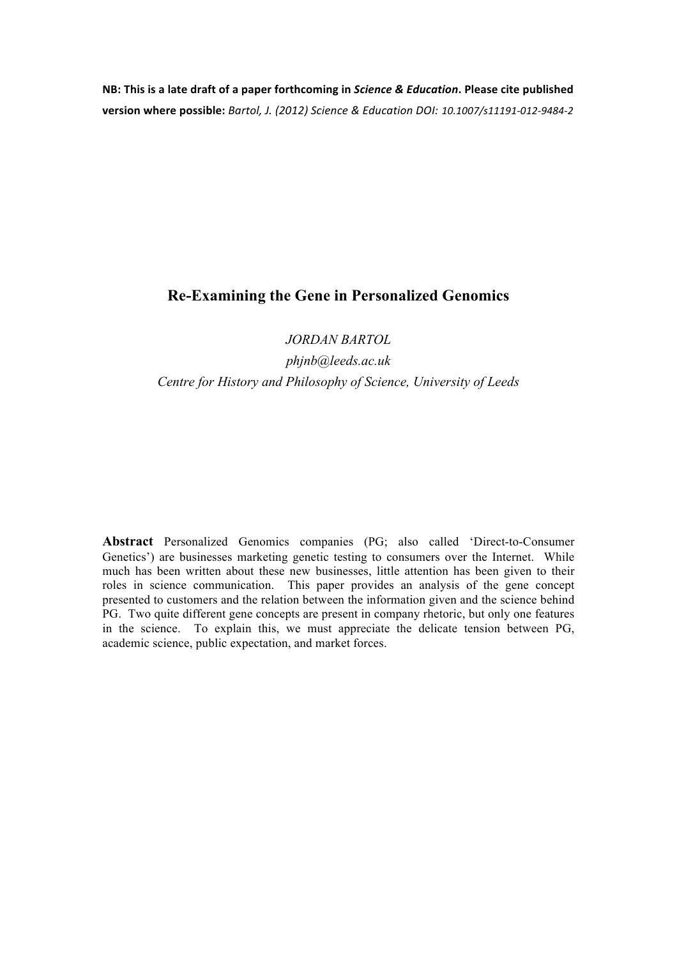**NB: This is a late draft of a paper forthcoming in** *Science & Education***. Please cite published version where possible:** *Bartol, J. (2012) Science & Education DOI: 10.1007/s11191‐012‐9484‐2*

# **Re-Examining the Gene in Personalized Genomics**

*JORDAN BARTOL*

*phjnb@leeds.ac.uk Centre for History and Philosophy of Science, University of Leeds*

**Abstract** Personalized Genomics companies (PG; also called 'Direct-to-Consumer Genetics') are businesses marketing genetic testing to consumers over the Internet. While much has been written about these new businesses, little attention has been given to their roles in science communication. This paper provides an analysis of the gene concept presented to customers and the relation between the information given and the science behind PG. Two quite different gene concepts are present in company rhetoric, but only one features in the science. To explain this, we must appreciate the delicate tension between PG, academic science, public expectation, and market forces.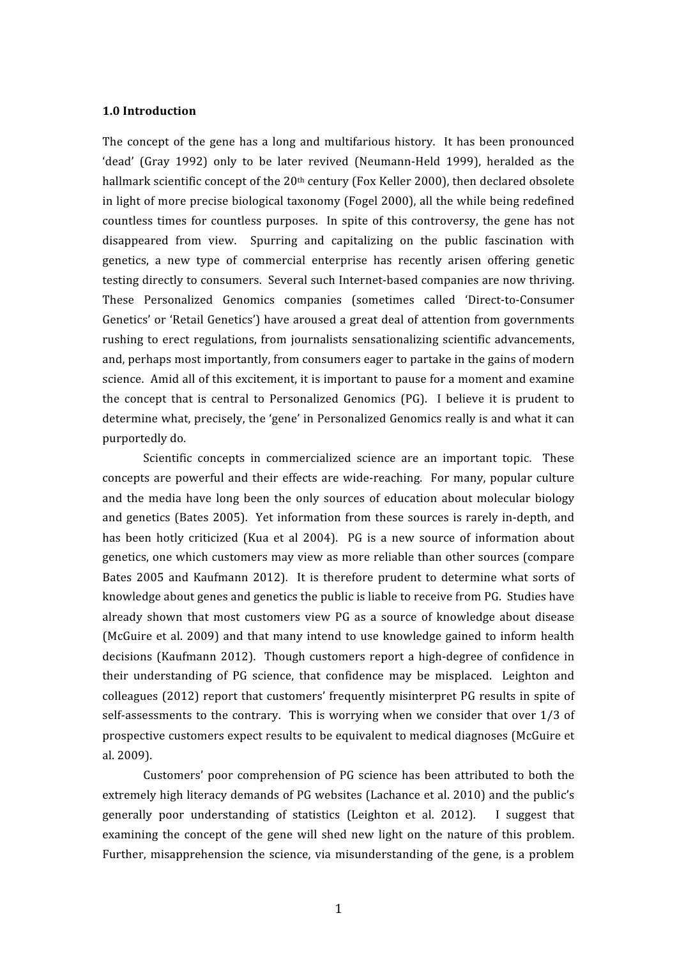#### **1.0 Introduction**

The concept of the gene has a long and multifarious history. It has been pronounced 'dead' (Gray 1992) only to be later revived (Neumann‐Held 1999), heralded as the hallmark scientific concept of the 20th century (Fox Keller 2000), then declared obsolete in light of more precise biological taxonomy (Fogel 2000), all the while being redefined countless times for countless purposes. In spite of this controversy, the gene has not disappeared from view. Spurring and capitalizing on the public fascination with genetics, a new type of commercial enterprise has recently arisen offering genetic testing directly to consumers. Several such Internet-based companies are now thriving. These Personalized Genomics companies (sometimes called 'Direct‐to‐Consumer Genetics' or 'Retail Genetics') have aroused a great deal of attention from governments rushing to erect regulations, from journalists sensationalizing scientific advancements, and, perhaps most importantly, from consumers eager to partake in the gains of modern science. Amid all of this excitement, it is important to pause for a moment and examine the concept that is central to Personalized Genomics (PG). I believe it is prudent to determine what, precisely, the 'gene' in Personalized Genomics really is and what it can purportedly do.

Scientific concepts in commercialized science are an important topic. These concepts are powerful and their effects are wide‐reaching. For many, popular culture and the media have long been the only sources of education about molecular biology and genetics (Bates 2005). Yet information from these sources is rarely in‐depth, and has been hotly criticized (Kua et al 2004). PG is a new source of information about genetics, one which customers may view as more reliable than other sources (compare Bates 2005 and Kaufmann 2012). It is therefore prudent to determine what sorts of knowledge about genes and genetics the public is liable to receive from PG. Studies have already shown that most customers view PG as a source of knowledge about disease (McGuire et al. 2009) and that many intend to use knowledge gained to inform health decisions (Kaufmann 2012). Though customers report a high‐degree of confidence in their understanding of PG science, that confidence may be misplaced. Leighton and colleagues (2012) report that customers' frequently misinterpret PG results in spite of self-assessments to the contrary. This is worrying when we consider that over 1/3 of prospective customers expect results to be equivalent to medical diagnoses (McGuire et al. 2009).

Customers' poor comprehension of PG science has been attributed to both the extremely high literacy demands of PG websites (Lachance et al. 2010) and the public's generally poor understanding of statistics (Leighton et al. 2012). I suggest that examining the concept of the gene will shed new light on the nature of this problem. Further, misapprehension the science, via misunderstanding of the gene, is a problem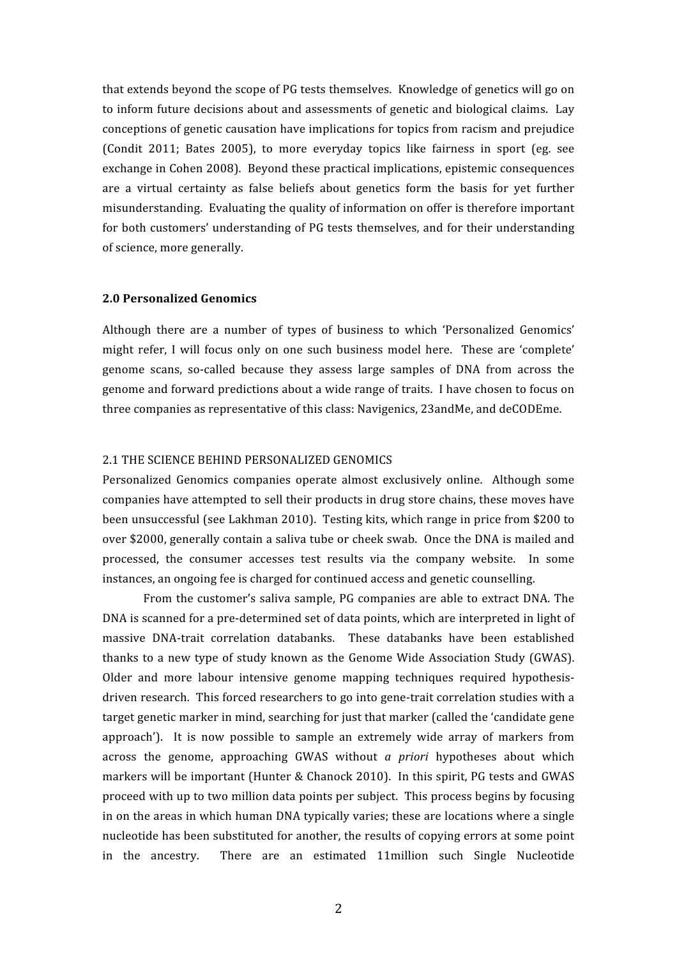that extends beyond the scope of PG tests themselves. Knowledge of genetics will go on to inform future decisions about and assessments of genetic and biological claims. Lay conceptions of genetic causation have implications for topics from racism and prejudice (Condit 2011; Bates 2005), to more everyday topics like fairness in sport (eg. see exchange in Cohen 2008). Beyond these practical implications, epistemic consequences are a virtual certainty as false beliefs about genetics form the basis for yet further misunderstanding. Evaluating the quality of information on offer is therefore important for both customers' understanding of PG tests themselves, and for their understanding of science, more generally.

## **2.0 Personalized Genomics**

Although there are a number of types of business to which 'Personalized Genomics' might refer, I will focus only on one such business model here. These are 'complete' genome scans, so-called because they assess large samples of DNA from across the genome and forward predictions about a wide range of traits. I have chosen to focus on three companies as representative of this class: Navigenics, 23andMe, and deCODEme.

## 2.1 THE SCIENCE BEHIND PERSONALIZED GENOMICS

Personalized Genomics companies operate almost exclusively online. Although some companies have attempted to sell their products in drug store chains, these moves have been unsuccessful (see Lakhman 2010). Testing kits, which range in price from \$200 to over \$2000, generally contain a saliva tube or cheek swab. Once the DNA is mailed and processed, the consumer accesses test results via the company website. In some instances, an ongoing fee is charged for continued access and genetic counselling.

From the customer's saliva sample, PG companies are able to extract DNA. The DNA is scanned for a pre‐determined set of data points, which are interpreted in light of massive DNA‐trait correlation databanks. These databanks have been established thanks to a new type of study known as the Genome Wide Association Study (GWAS). Older and more labour intensive genome mapping techniques required hypothesis‐ driven research. This forced researchers to go into gene‐trait correlation studies with a target genetic marker in mind, searching for just that marker (called the 'candidate gene approach'). It is now possible to sample an extremely wide array of markers from across the genome, approaching GWAS without *a priori* hypotheses about which markers will be important (Hunter & Chanock 2010). In this spirit, PG tests and GWAS proceed with up to two million data points per subject. This process begins by focusing in on the areas in which human DNA typically varies; these are locations where a single nucleotide has been substituted for another, the results of copying errors at some point in the ancestry. There are an estimated 11million such Single Nucleotide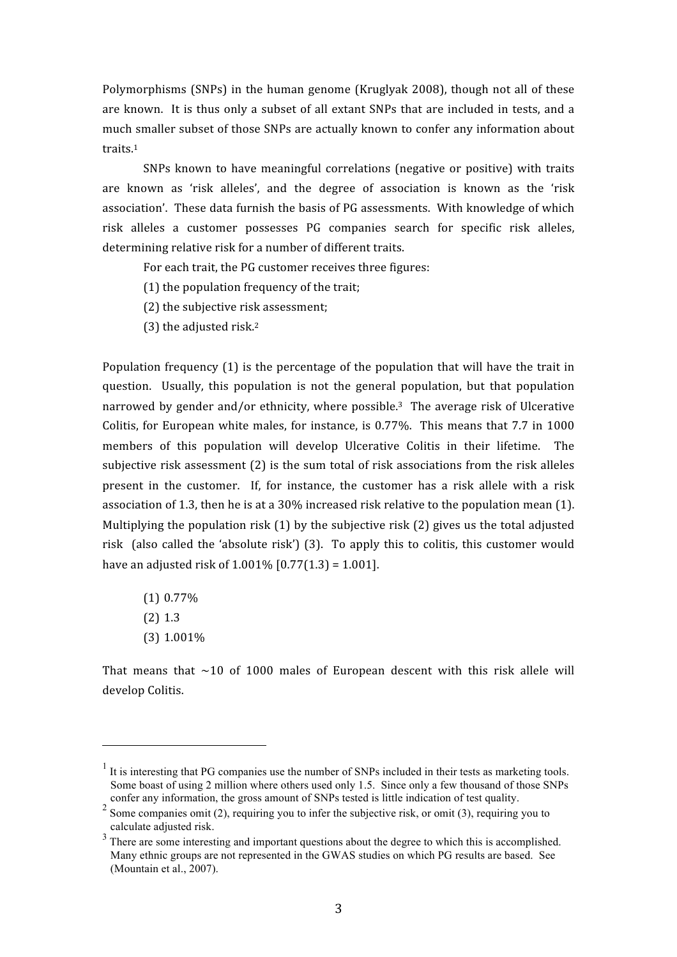Polymorphisms (SNPs) in the human genome (Kruglyak 2008), though not all of these are known. It is thus only a subset of all extant SNPs that are included in tests, and a much smaller subset of those SNPs are actually known to confer any information about traits. 1

SNPs known to have meaningful correlations (negative or positive) with traits are known as 'risk alleles', and the degree of association is known as the 'risk association'. These data furnish the basis of PG assessments. With knowledge of which risk alleles a customer possesses PG companies search for specific risk alleles, determining relative risk for a number of different traits.

For each trait, the PG customer receives three figures:

- (1) the population frequency of the trait;
- (2) the subjective risk assessment;
- (3) the adjusted risk. 2

Population frequency (1) is the percentage of the population that will have the trait in question. Usually, this population is not the general population, but that population narrowed by gender and/or ethnicity, where possible.<sup>3</sup> The average risk of Ulcerative Colitis, for European white males, for instance, is 0.77%. This means that 7.7 in 1000 members of this population will develop Ulcerative Colitis in their lifetime. The subjective risk assessment (2) is the sum total of risk associations from the risk alleles present in the customer. If, for instance, the customer has a risk allele with a risk association of 1.3, then he is at a 30% increased risk relative to the population mean (1). Multiplying the population risk (1) by the subjective risk (2) gives us the total adjusted risk (also called the 'absolute risk') (3). To apply this to colitis, this customer would have an adjusted risk of 1.001% [0.77(1.3) = 1.001].

(1) 0.77% (2) 1.3 (3) 1.001%

That means that  $\sim$ 10 of 1000 males of European descent with this risk allele will develop Colitis.

<sup>1</sup> It is interesting that PG companies use the number of SNPs included in their tests as marketing tools. Some boast of using 2 million where others used only 1.5. Since only a few thousand of those SNPs confer any information, the gross amount of SNPs tested is little indication of test quality.<br><sup>2</sup> Some companies omit (2), requiring you to infer the subjective risk, or omit (3), requiring you to

calculate adjusted risk.  $3$  There are some interesting and important questions about the degree to which this is accomplished. Many ethnic groups are not represented in the GWAS studies on which PG results are based. See (Mountain et al., 2007).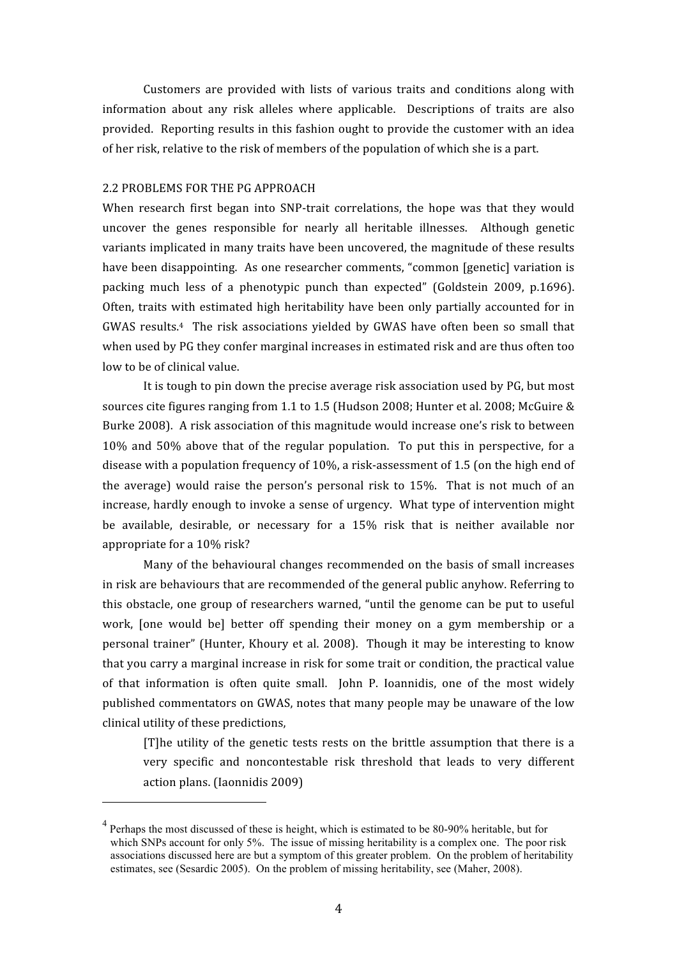Customers are provided with lists of various traits and conditions along with information about any risk alleles where applicable. Descriptions of traits are also provided. Reporting results in this fashion ought to provide the customer with an idea of her risk, relative to the risk of members of the population of which she is a part.

# 2.2 PROBLEMS FOR THE PG APPROACH

When research first began into SNP-trait correlations, the hope was that they would uncover the genes responsible for nearly all heritable illnesses. Although genetic variants implicated in many traits have been uncovered, the magnitude of these results have been disappointing. As one researcher comments, "common [genetic] variation is packing much less of a phenotypic punch than expected" (Goldstein 2009, p.1696). Often, traits with estimated high heritability have been only partially accounted for in GWAS results. <sup>4</sup> The risk associations yielded by GWAS have often been so small that when used by PG they confer marginal increases in estimated risk and are thus often too low to be of clinical value.

It is tough to pin down the precise average risk association used by PG, but most sources cite figures ranging from 1.1 to 1.5 (Hudson 2008; Hunter et al. 2008; McGuire & Burke 2008). A risk association of this magnitude would increase one's risk to between 10% and 50% above that of the regular population. To put this in perspective, for a disease with a population frequency of 10%, a risk‐assessment of 1.5 (on the high end of the average) would raise the person's personal risk to 15%. That is not much of an increase, hardly enough to invoke a sense of urgency. What type of intervention might be available, desirable, or necessary for a 15% risk that is neither available nor appropriate for a 10% risk?

Many of the behavioural changes recommended on the basis of small increases in risk are behaviours that are recommended of the general public anyhow. Referring to this obstacle, one group of researchers warned, "until the genome can be put to useful work, [one would be] better off spending their money on a gym membership or a personal trainer" (Hunter, Khoury et al. 2008). Though it may be interesting to know that you carry a marginal increase in risk for some trait or condition, the practical value of that information is often quite small. John P. Ioannidis, one of the most widely published commentators on GWAS, notes that many people may be unaware of the low clinical utility of these predictions,

[T]he utility of the genetic tests rests on the brittle assumption that there is a very specific and noncontestable risk threshold that leads to very different action plans. (Iaonnidis 2009)

<sup>&</sup>lt;sup>4</sup> Perhaps the most discussed of these is height, which is estimated to be 80-90% heritable, but for which SNPs account for only 5%. The issue of missing heritability is a complex one. The poor risk associations discussed here are but a symptom of this greater problem. On the problem of heritability estimates, see (Sesardic 2005). On the problem of missing heritability, see (Maher, 2008).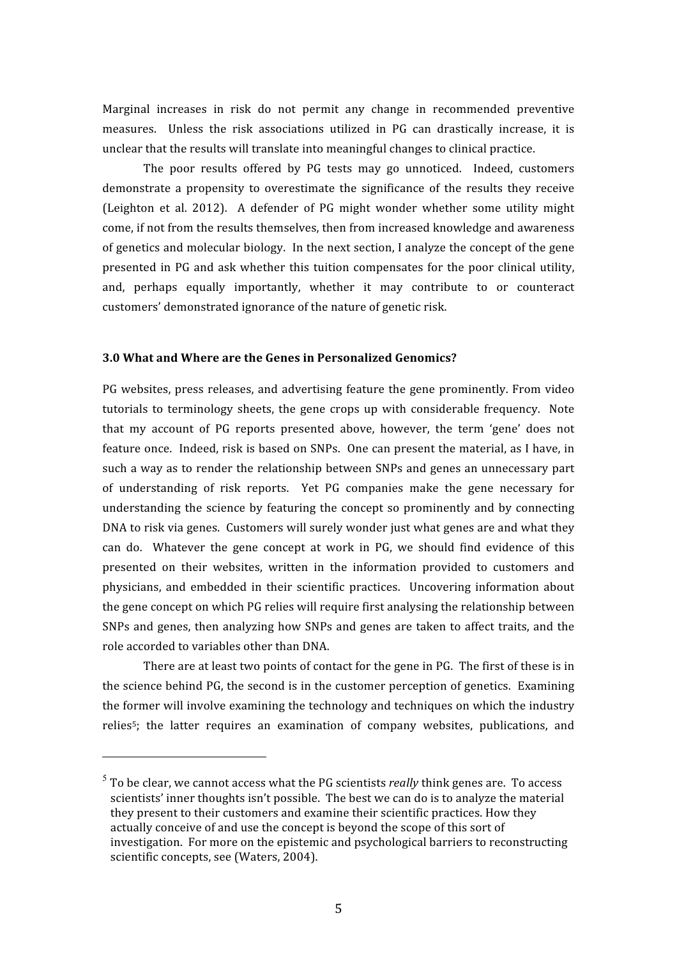Marginal increases in risk do not permit any change in recommended preventive measures. Unless the risk associations utilized in PG can drastically increase, it is unclear that the results will translate into meaningful changes to clinical practice.

The poor results offered by PG tests may go unnoticed. Indeed, customers demonstrate a propensity to overestimate the significance of the results they receive (Leighton et al. 2012). A defender of PG might wonder whether some utility might come, if not from the results themselves, then from increased knowledge and awareness of genetics and molecular biology. In the next section, I analyze the concept of the gene presented in PG and ask whether this tuition compensates for the poor clinical utility, and, perhaps equally importantly, whether it may contribute to or counteract customers' demonstrated ignorance of the nature of genetic risk.

# **3.0 What and Where are the Genes in Personalized Genomics?**

PG websites, press releases, and advertising feature the gene prominently. From video tutorials to terminology sheets, the gene crops up with considerable frequency. Note that my account of PG reports presented above, however, the term 'gene' does not feature once. Indeed, risk is based on SNPs. One can present the material, as I have, in such a way as to render the relationship between SNPs and genes an unnecessary part of understanding of risk reports. Yet PG companies make the gene necessary for understanding the science by featuring the concept so prominently and by connecting DNA to risk via genes. Customers will surely wonder just what genes are and what they can do. Whatever the gene concept at work in PG, we should find evidence of this presented on their websites, written in the information provided to customers and physicians, and embedded in their scientific practices. Uncovering information about the gene concept on which PG relies will require first analysing the relationship between SNPs and genes, then analyzing how SNPs and genes are taken to affect traits, and the role accorded to variables other than DNA.

There are at least two points of contact for the gene in PG. The first of these is in the science behind PG, the second is in the customer perception of genetics. Examining the former will involve examining the technology and techniques on which the industry relies5; the latter requires an examination of company websites, publications, and

<sup>5</sup> To be clear, we cannot access what the PG scientists *really* think genes are. To access scientists' inner thoughts isn't possible. The best we can do is to analyze the material they present to their customers and examine their scientific practices. How they actually conceive of and use the concept is beyond the scope of this sort of investigation. For more on the epistemic and psychological barriers to reconstructing scientific concepts, see (Waters, 2004).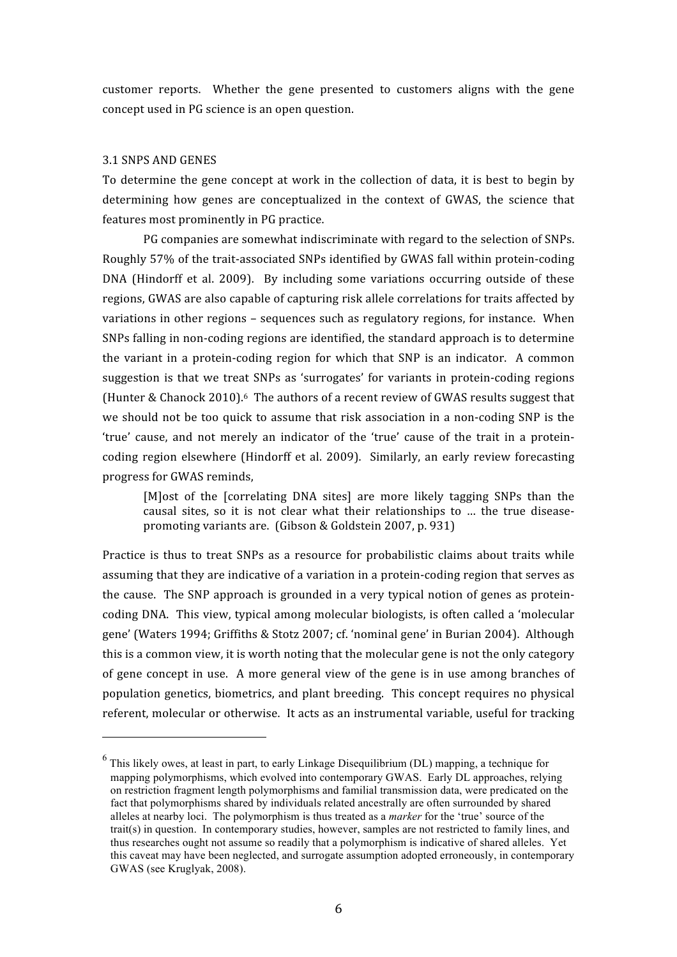customer reports. Whether the gene presented to customers aligns with the gene concept used in PG science is an open question.

## 3.1 SNPS AND GENES

To determine the gene concept at work in the collection of data, it is best to begin by determining how genes are conceptualized in the context of GWAS, the science that features most prominently in PG practice.

PG companies are somewhat indiscriminate with regard to the selection of SNPs. Roughly 57% of the trait‐associated SNPs identified by GWAS fall within protein‐coding DNA (Hindorff et al. 2009). By including some variations occurring outside of these regions, GWAS are also capable of capturing risk allele correlations for traits affected by variations in other regions – sequences such as regulatory regions, for instance. When SNPs falling in non‐coding regions are identified, the standard approach is to determine the variant in a protein‐coding region for which that SNP is an indicator. A common suggestion is that we treat SNPs as 'surrogates' for variants in protein‐coding regions (Hunter & Chanock 2010). <sup>6</sup> The authors of a recent review of GWAS results suggest that we should not be too quick to assume that risk association in a non-coding SNP is the 'true' cause, and not merely an indicator of the 'true' cause of the trait in a protein‐ coding region elsewhere (Hindorff et al. 2009). Similarly, an early review forecasting progress for GWAS reminds,

[M]ost of the [correlating DNA sites] are more likely tagging SNPs than the causal sites, so it is not clear what their relationships to … the true disease‐ promoting variants are. (Gibson & Goldstein 2007, p. 931)

Practice is thus to treat SNPs as a resource for probabilistic claims about traits while assuming that they are indicative of a variation in a protein‐coding region that serves as the cause. The SNP approach is grounded in a very typical notion of genes as protein‐ coding DNA. This view, typical among molecular biologists, is often called a 'molecular gene' (Waters 1994; Griffiths & Stotz 2007; cf. 'nominal gene' in Burian 2004). Although this is a common view, it is worth noting that the molecular gene is not the only category of gene concept in use. A more general view of the gene is in use among branches of population genetics, biometrics, and plant breeding. This concept requires no physical referent, molecular or otherwise. It acts as an instrumental variable, useful for tracking

 $<sup>6</sup>$  This likely owes, at least in part, to early Linkage Disequilibrium (DL) mapping, a technique for</sup> mapping polymorphisms, which evolved into contemporary GWAS. Early DL approaches, relying on restriction fragment length polymorphisms and familial transmission data, were predicated on the fact that polymorphisms shared by individuals related ancestrally are often surrounded by shared alleles at nearby loci. The polymorphism is thus treated as a *marker* for the 'true' source of the trait(s) in question. In contemporary studies, however, samples are not restricted to family lines, and thus researches ought not assume so readily that a polymorphism is indicative of shared alleles. Yet this caveat may have been neglected, and surrogate assumption adopted erroneously, in contemporary GWAS (see Kruglyak, 2008).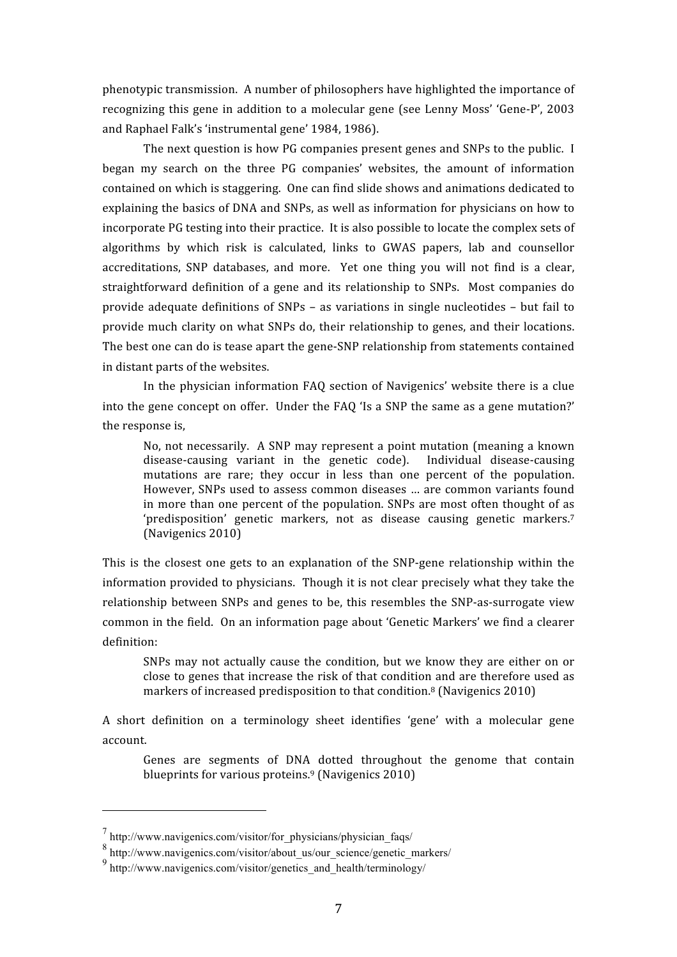phenotypic transmission. A number of philosophers have highlighted the importance of recognizing this gene in addition to a molecular gene (see Lenny Moss' 'Gene‐P', 2003 and Raphael Falk's 'instrumental gene' 1984, 1986).

The next question is how PG companies present genes and SNPs to the public. I began my search on the three PG companies' websites, the amount of information contained on which is staggering. One can find slide shows and animations dedicated to explaining the basics of DNA and SNPs, as well as information for physicians on how to incorporate PG testing into their practice. It is also possible to locate the complex sets of algorithms by which risk is calculated, links to GWAS papers, lab and counsellor accreditations, SNP databases, and more. Yet one thing you will not find is a clear, straightforward definition of a gene and its relationship to SNPs. Most companies do provide adequate definitions of SNPs – as variations in single nucleotides – but fail to provide much clarity on what SNPs do, their relationship to genes, and their locations. The best one can do is tease apart the gene‐SNP relationship from statements contained in distant parts of the websites.

In the physician information FAQ section of Navigenics' website there is a clue into the gene concept on offer. Under the FAQ 'Is a SNP the same as a gene mutation?' the response is,

No, not necessarily. A SNP may represent a point mutation (meaning a known disease‐causing variant in the genetic code). Individual disease‐causing mutations are rare; they occur in less than one percent of the population. However, SNPs used to assess common diseases … are common variants found in more than one percent of the population. SNPs are most often thought of as 'predisposition' genetic markers, not as disease causing genetic markers. 7 (Navigenics 2010)

This is the closest one gets to an explanation of the SNP‐gene relationship within the information provided to physicians. Though it is not clear precisely what they take the relationship between SNPs and genes to be, this resembles the SNP‐as‐surrogate view common in the field. On an information page about 'Genetic Markers' we find a clearer definition:

SNPs may not actually cause the condition, but we know they are either on or close to genes that increase the risk of that condition and are therefore used as markers of increased predisposition to that condition. <sup>8</sup> (Navigenics 2010)

A short definition on a terminology sheet identifies 'gene' with a molecular gene account.

Genes are segments of DNA dotted throughout the genome that contain blueprints for various proteins. <sup>9</sup> (Navigenics 2010)

 $^7$  http://www.navigenics.com/visitor/for\_physicians/physician\_faqs/

<sup>8</sup> http://www.navigenics.com/visitor/about\_us/our\_science/genetic\_markers/

 $9$  http://www.navigenics.com/visitor/genetics and health/terminology/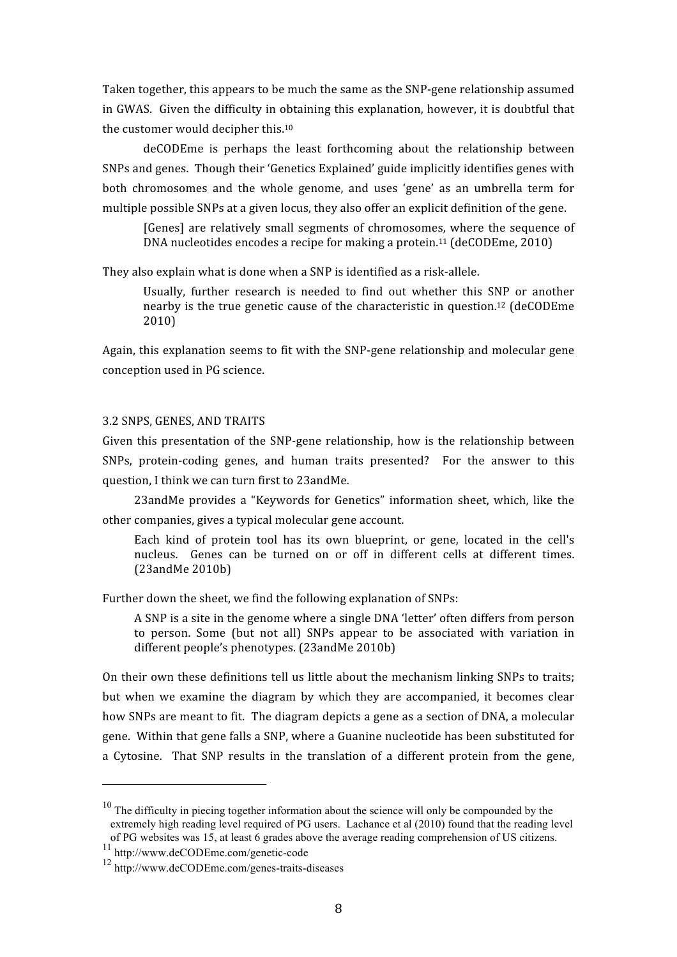Taken together, this appears to be much the same as the SNP‐gene relationship assumed in GWAS. Given the difficulty in obtaining this explanation, however, it is doubtful that the customer would decipher this. 10

deCODEme is perhaps the least forthcoming about the relationship between SNPs and genes. Though their 'Genetics Explained' guide implicitly identifies genes with both chromosomes and the whole genome, and uses 'gene' as an umbrella term for multiple possible SNPs at a given locus, they also offer an explicit definition of the gene.

[Genes] are relatively small segments of chromosomes, where the sequence of DNA nucleotides encodes a recipe for making a protein. <sup>11</sup> (deCODEme, 2010)

They also explain what is done when a SNP is identified as a risk-allele.

Usually, further research is needed to find out whether this SNP or another nearby is the true genetic cause of the characteristic in question. <sup>12</sup> (deCODEme 2010)

Again, this explanation seems to fit with the SNP‐gene relationship and molecular gene conception used in PG science.

## 3.2 SNPS, GENES, AND TRAITS

Given this presentation of the SNP‐gene relationship, how is the relationship between SNPs, protein-coding genes, and human traits presented? For the answer to this question, I think we can turn first to 23andMe.

23andMe provides a "Keywords for Genetics" information sheet, which, like the other companies, gives a typical molecular gene account.

Each kind of protein tool has its own blueprint, or gene, located in the cell's nucleus. Genes can be turned on or off in different cells at different times. (23andMe 2010b)

Further down the sheet, we find the following explanation of SNPs:

A SNP is a site in the genome where a single DNA 'letter' often differs from person to person. Some (but not all) SNPs appear to be associated with variation in different people's phenotypes. (23andMe 2010b)

On their own these definitions tell us little about the mechanism linking SNPs to traits; but when we examine the diagram by which they are accompanied, it becomes clear how SNPs are meant to fit. The diagram depicts a gene as a section of DNA, a molecular gene. Within that gene falls a SNP, where a Guanine nucleotide has been substituted for a Cytosine. That SNP results in the translation of a different protein from the gene,

 $10$  The difficulty in piecing together information about the science will only be compounded by the extremely high reading level required of PG users. Lachance et al (2010) found that the reading level of PG websites was 15, at least <sup>6</sup> grades above the average reading comprehension of US citizens. <sup>11</sup> http://www.deCODEme.com/genetic-code

<sup>12</sup> http://www.deCODEme.com/genes-traits-diseases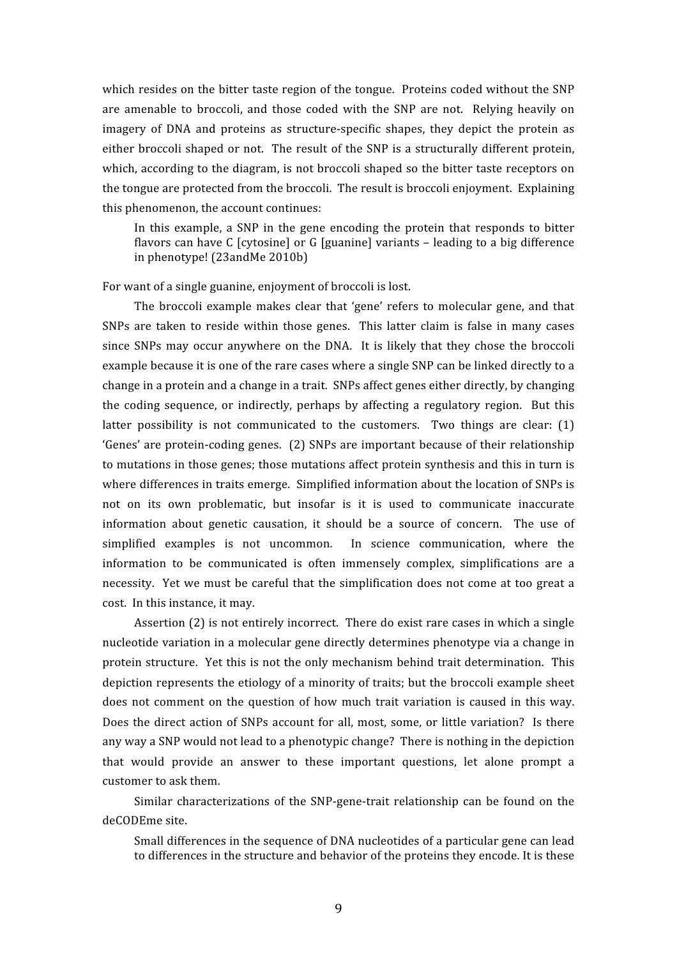which resides on the bitter taste region of the tongue. Proteins coded without the SNP are amenable to broccoli, and those coded with the SNP are not. Relying heavily on imagery of DNA and proteins as structure‐specific shapes, they depict the protein as either broccoli shaped or not. The result of the SNP is a structurally different protein, which, according to the diagram, is not broccoli shaped so the bitter taste receptors on the tongue are protected from the broccoli. The result is broccoli enjoyment. Explaining this phenomenon, the account continues:

In this example, a SNP in the gene encoding the protein that responds to bitter flavors can have C [cytosine] or G [guanine] variants – leading to a big difference in phenotype! (23andMe 2010b)

For want of a single guanine, enjoyment of broccoli is lost.

The broccoli example makes clear that 'gene' refers to molecular gene, and that SNPs are taken to reside within those genes. This latter claim is false in many cases since SNPs may occur anywhere on the DNA. It is likely that they chose the broccoli example because it is one of the rare cases where a single SNP can be linked directly to a change in a protein and a change in a trait. SNPs affect genes either directly, by changing the coding sequence, or indirectly, perhaps by affecting a regulatory region. But this latter possibility is not communicated to the customers. Two things are clear: (1) 'Genes' are protein‐coding genes. (2) SNPs are important because of their relationship to mutations in those genes; those mutations affect protein synthesis and this in turn is where differences in traits emerge. Simplified information about the location of SNPs is not on its own problematic, but insofar is it is used to communicate inaccurate information about genetic causation, it should be a source of concern. The use of simplified examples is not uncommon. In science communication, where the information to be communicated is often immensely complex, simplifications are a necessity. Yet we must be careful that the simplification does not come at too great a cost. In this instance, it may.

Assertion (2) is not entirely incorrect. There do exist rare cases in which a single nucleotide variation in a molecular gene directly determines phenotype via a change in protein structure. Yet this is not the only mechanism behind trait determination. This depiction represents the etiology of a minority of traits; but the broccoli example sheet does not comment on the question of how much trait variation is caused in this way. Does the direct action of SNPs account for all, most, some, or little variation? Is there any way a SNP would not lead to a phenotypic change? There is nothing in the depiction that would provide an answer to these important questions, let alone prompt a customer to ask them.

Similar characterizations of the SNP‐gene‐trait relationship can be found on the deCODEme site.

Small differences in the sequence of DNA nucleotides of a particular gene can lead to differences in the structure and behavior of the proteins they encode. It is these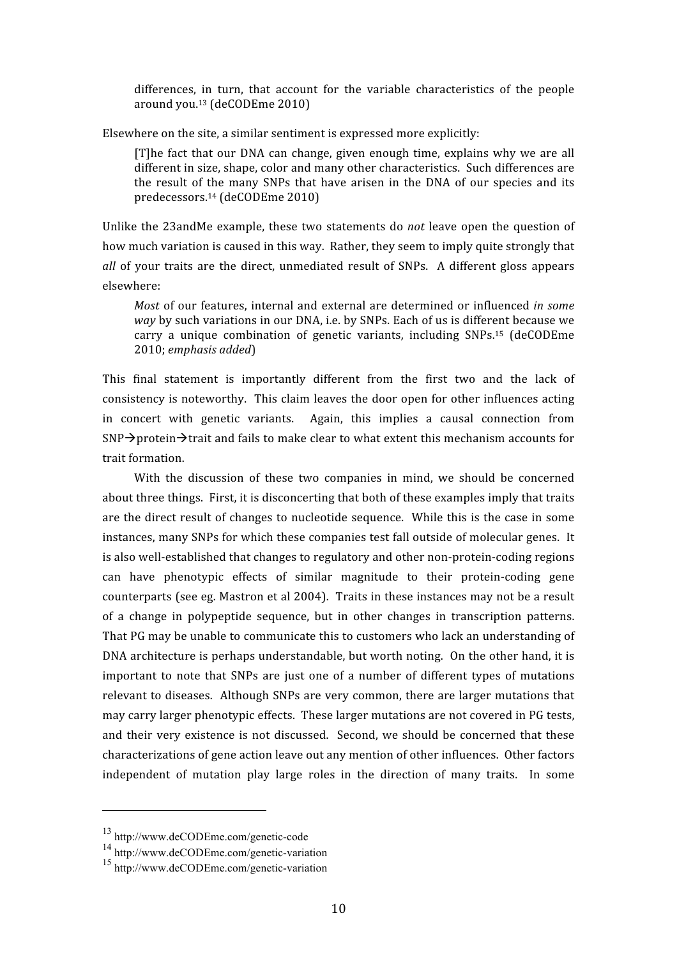differences, in turn, that account for the variable characteristics of the people around you. <sup>13</sup> (deCODEme 2010)

Elsewhere on the site, a similar sentiment is expressed more explicitly:

[T]he fact that our DNA can change, given enough time, explains why we are all different in size, shape, color and many other characteristics. Such differences are the result of the many SNPs that have arisen in the DNA of our species and its predecessors. <sup>14</sup> (deCODEme 2010)

Unlike the 23andMe example, these two statements do *not* leave open the question of how much variation is caused in this way. Rather, they seem to imply quite strongly that *all* of your traits are the direct, unmediated result of SNPs. A different gloss appears elsewhere:

*Most* of our features, internal and external are determined or influenced *in some way* by such variations in our DNA, i.e. by SNPs. Each of us is different because we carry a unique combination of genetic variants, including SNPs. <sup>15</sup> (deCODEme 2010; *emphasis added*)

This final statement is importantly different from the first two and the lack of consistency is noteworthy. This claim leaves the door open for other influences acting in concert with genetic variants. Again, this implies a causal connection from  $SNP\rightarrow$  protein $\rightarrow$  trait and fails to make clear to what extent this mechanism accounts for trait formation.

With the discussion of these two companies in mind, we should be concerned about three things. First, it is disconcerting that both of these examples imply that traits are the direct result of changes to nucleotide sequence. While this is the case in some instances, many SNPs for which these companies test fall outside of molecular genes. It is also well-established that changes to regulatory and other non-protein-coding regions can have phenotypic effects of similar magnitude to their protein‐coding gene counterparts (see eg. Mastron et al 2004). Traits in these instances may not be a result of a change in polypeptide sequence, but in other changes in transcription patterns. That PG may be unable to communicate this to customers who lack an understanding of DNA architecture is perhaps understandable, but worth noting. On the other hand, it is important to note that SNPs are just one of a number of different types of mutations relevant to diseases. Although SNPs are very common, there are larger mutations that may carry larger phenotypic effects. These larger mutations are not covered in PG tests, and their very existence is not discussed. Second, we should be concerned that these characterizations of gene action leave out any mention of other influences. Other factors independent of mutation play large roles in the direction of many traits. In some

<sup>13</sup> http://www.deCODEme.com/genetic-code

<sup>14</sup> http://www.deCODEme.com/genetic-variation

<sup>15</sup> http://www.deCODEme.com/genetic-variation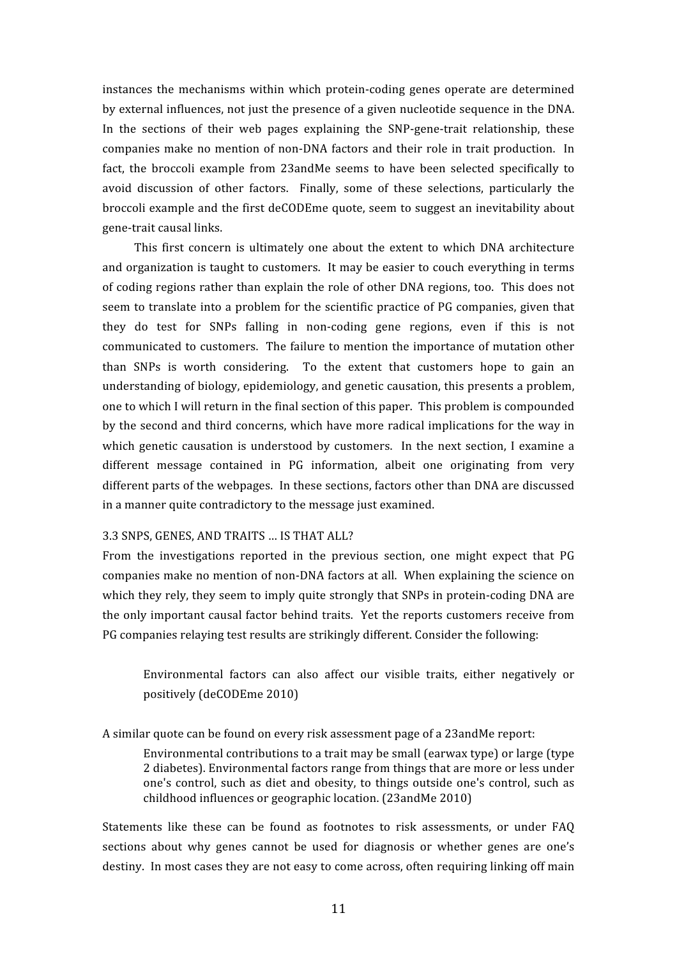instances the mechanisms within which protein‐coding genes operate are determined by external influences, not just the presence of a given nucleotide sequence in the DNA. In the sections of their web pages explaining the SNP‐gene‐trait relationship, these companies make no mention of non‐DNA factors and their role in trait production. In fact, the broccoli example from 23andMe seems to have been selected specifically to avoid discussion of other factors. Finally, some of these selections, particularly the broccoli example and the first deCODEme quote, seem to suggest an inevitability about gene‐trait causal links.

This first concern is ultimately one about the extent to which DNA architecture and organization is taught to customers. It may be easier to couch everything in terms of coding regions rather than explain the role of other DNA regions, too. This does not seem to translate into a problem for the scientific practice of PG companies, given that they do test for SNPs falling in non‐coding gene regions, even if this is not communicated to customers. The failure to mention the importance of mutation other than SNPs is worth considering. To the extent that customers hope to gain an understanding of biology, epidemiology, and genetic causation, this presents a problem, one to which I will return in the final section of this paper. This problem is compounded by the second and third concerns, which have more radical implications for the way in which genetic causation is understood by customers. In the next section, I examine a different message contained in PG information, albeit one originating from very different parts of the webpages. In these sections, factors other than DNA are discussed in a manner quite contradictory to the message just examined.

## 3.3 SNPS, GENES, AND TRAITS … IS THAT ALL?

From the investigations reported in the previous section, one might expect that PG companies make no mention of non‐DNA factors at all. When explaining the science on which they rely, they seem to imply quite strongly that SNPs in protein-coding DNA are the only important causal factor behind traits. Yet the reports customers receive from PG companies relaying test results are strikingly different. Consider the following:

Environmental factors can also affect our visible traits, either negatively or positively (deCODEme 2010)

A similar quote can be found on every risk assessment page of a 23andMe report:

Environmental contributions to a trait may be small (earwax type) or large (type 2 diabetes). Environmental factors range from things that are more or less under one's control, such as diet and obesity, to things outside one's control, such as childhood influences or geographic location. (23andMe 2010)

Statements like these can be found as footnotes to risk assessments, or under FAQ sections about why genes cannot be used for diagnosis or whether genes are one's destiny. In most cases they are not easy to come across, often requiring linking off main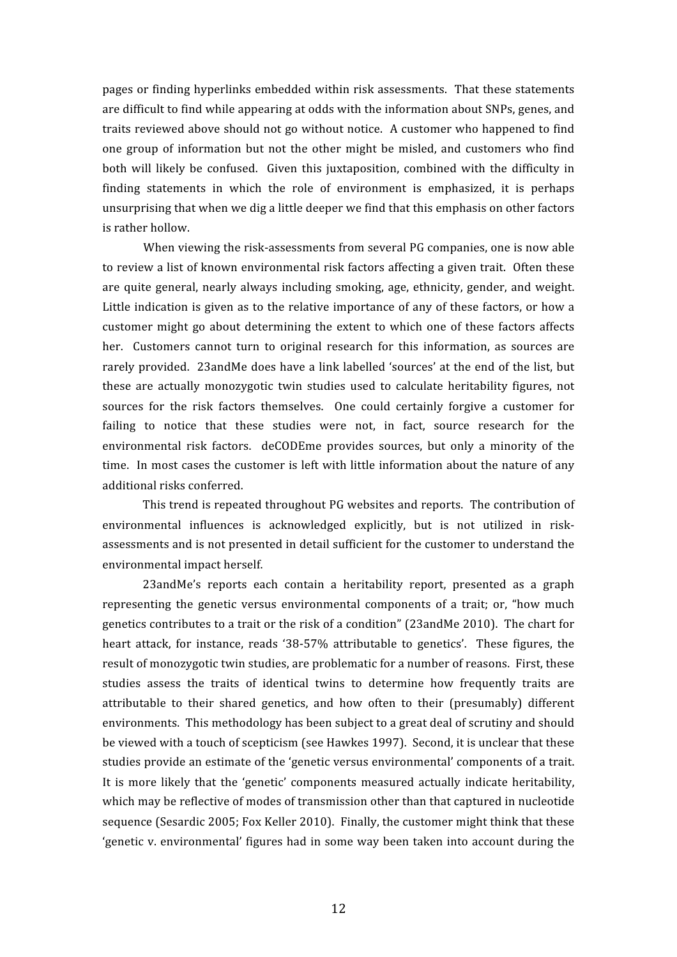pages or finding hyperlinks embedded within risk assessments. That these statements are difficult to find while appearing at odds with the information about SNPs, genes, and traits reviewed above should not go without notice. A customer who happened to find one group of information but not the other might be misled, and customers who find both will likely be confused. Given this juxtaposition, combined with the difficulty in finding statements in which the role of environment is emphasized, it is perhaps unsurprising that when we dig a little deeper we find that this emphasis on other factors is rather hollow.

When viewing the risk-assessments from several PG companies, one is now able to review a list of known environmental risk factors affecting a given trait. Often these are quite general, nearly always including smoking, age, ethnicity, gender, and weight. Little indication is given as to the relative importance of any of these factors, or how a customer might go about determining the extent to which one of these factors affects her. Customers cannot turn to original research for this information, as sources are rarely provided. 23andMe does have a link labelled 'sources' at the end of the list, but these are actually monozygotic twin studies used to calculate heritability figures, not sources for the risk factors themselves. One could certainly forgive a customer for failing to notice that these studies were not, in fact, source research for the environmental risk factors. deCODEme provides sources, but only a minority of the time. In most cases the customer is left with little information about the nature of any additional risks conferred.

This trend is repeated throughout PG websites and reports. The contribution of environmental influences is acknowledged explicitly, but is not utilized in riskassessments and is not presented in detail sufficient for the customer to understand the environmental impact herself.

23andMe's reports each contain a heritability report, presented as a graph representing the genetic versus environmental components of a trait; or, "how much genetics contributes to a trait or the risk of a condition" (23andMe 2010). The chart for heart attack, for instance, reads '38‐57% attributable to genetics'. These figures, the result of monozygotic twin studies, are problematic for a number of reasons. First, these studies assess the traits of identical twins to determine how frequently traits are attributable to their shared genetics, and how often to their (presumably) different environments. This methodology has been subject to a great deal of scrutiny and should be viewed with a touch of scepticism (see Hawkes 1997). Second, it is unclear that these studies provide an estimate of the 'genetic versus environmental' components of a trait. It is more likely that the 'genetic' components measured actually indicate heritability, which may be reflective of modes of transmission other than that captured in nucleotide sequence (Sesardic 2005; Fox Keller 2010). Finally, the customer might think that these 'genetic v. environmental' figures had in some way been taken into account during the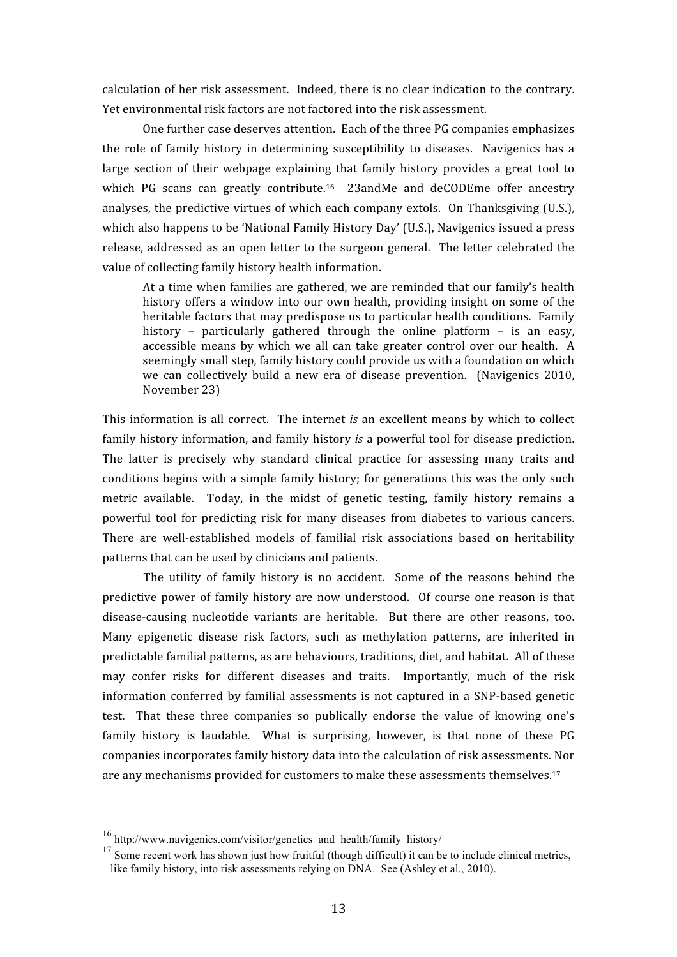calculation of her risk assessment. Indeed, there is no clear indication to the contrary. Yet environmental risk factors are not factored into the risk assessment.

One further case deserves attention. Each of the three PG companies emphasizes the role of family history in determining susceptibility to diseases. Navigenics has a large section of their webpage explaining that family history provides a great tool to which PG scans can greatly contribute.<sup>16</sup> 23andMe and deCODEme offer ancestry analyses, the predictive virtues of which each company extols. On Thanksgiving (U.S.), which also happens to be 'National Family History Day' (U.S.), Navigenics issued a press release, addressed as an open letter to the surgeon general. The letter celebrated the value of collecting family history health information.

At a time when families are gathered, we are reminded that our family's health history offers a window into our own health, providing insight on some of the heritable factors that may predispose us to particular health conditions. Family history – particularly gathered through the online platform – is an easy, accessible means by which we all can take greater control over our health. A seemingly small step, family history could provide us with a foundation on which we can collectively build a new era of disease prevention. (Navigenics 2010, November 23)

This information is all correct. The internet *is* an excellent means by which to collect family history information, and family history *is* a powerful tool for disease prediction. The latter is precisely why standard clinical practice for assessing many traits and conditions begins with a simple family history; for generations this was the only such metric available. Today, in the midst of genetic testing, family history remains a powerful tool for predicting risk for many diseases from diabetes to various cancers. There are well-established models of familial risk associations based on heritability patterns that can be used by clinicians and patients.

The utility of family history is no accident. Some of the reasons behind the predictive power of family history are now understood. Of course one reason is that disease‐causing nucleotide variants are heritable. But there are other reasons, too. Many epigenetic disease risk factors, such as methylation patterns, are inherited in predictable familial patterns, as are behaviours, traditions, diet, and habitat. All of these may confer risks for different diseases and traits. Importantly, much of the risk information conferred by familial assessments is not captured in a SNP‐based genetic test. That these three companies so publically endorse the value of knowing one's family history is laudable. What is surprising, however, is that none of these PG companies incorporates family history data into the calculation of risk assessments. Nor are any mechanisms provided for customers to make these assessments themselves. 17

 $16$  http://www.navigenics.com/visitor/genetics and health/family history/

 $17$  Some recent work has shown just how fruitful (though difficult) it can be to include clinical metrics, like family history, into risk assessments relying on DNA. See (Ashley et al., 2010).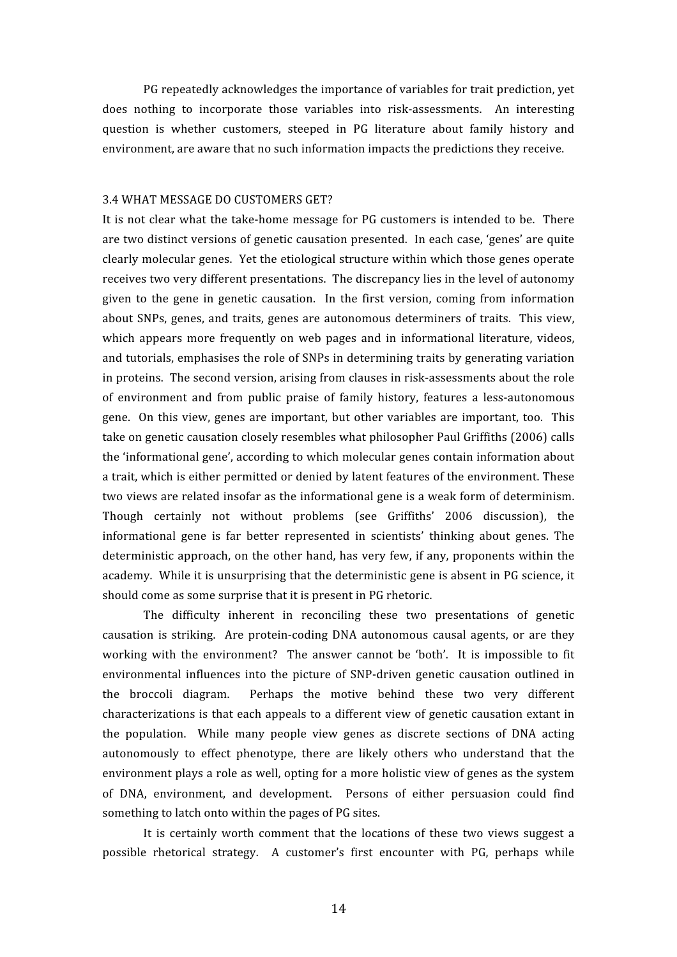PG repeatedly acknowledges the importance of variables for trait prediction, yet does nothing to incorporate those variables into risk‐assessments. An interesting question is whether customers, steeped in PG literature about family history and environment, are aware that no such information impacts the predictions they receive.

#### 3.4 WHAT MESSAGE DO CUSTOMERS GET?

It is not clear what the take‐home message for PG customers is intended to be. There are two distinct versions of genetic causation presented. In each case, 'genes' are quite clearly molecular genes. Yet the etiological structure within which those genes operate receives two very different presentations. The discrepancy lies in the level of autonomy given to the gene in genetic causation. In the first version, coming from information about SNPs, genes, and traits, genes are autonomous determiners of traits. This view, which appears more frequently on web pages and in informational literature, videos, and tutorials, emphasises the role of SNPs in determining traits by generating variation in proteins. The second version, arising from clauses in risk‐assessments about the role of environment and from public praise of family history, features a less‐autonomous gene. On this view, genes are important, but other variables are important, too. This take on genetic causation closely resembles what philosopher Paul Griffiths (2006) calls the 'informational gene', according to which molecular genes contain information about a trait, which is either permitted or denied by latent features of the environment. These two views are related insofar as the informational gene is a weak form of determinism. Though certainly not without problems (see Griffiths' 2006 discussion), the informational gene is far better represented in scientists' thinking about genes. The deterministic approach, on the other hand, has very few, if any, proponents within the academy. While it is unsurprising that the deterministic gene is absent in PG science, it should come as some surprise that it is present in PG rhetoric.

The difficulty inherent in reconciling these two presentations of genetic causation is striking. Are protein‐coding DNA autonomous causal agents, or are they working with the environment? The answer cannot be 'both'. It is impossible to fit environmental influences into the picture of SNP‐driven genetic causation outlined in the broccoli diagram. Perhaps the motive behind these two very different characterizations is that each appeals to a different view of genetic causation extant in the population. While many people view genes as discrete sections of DNA acting autonomously to effect phenotype, there are likely others who understand that the environment plays a role as well, opting for a more holistic view of genes as the system of DNA, environment, and development. Persons of either persuasion could find something to latch onto within the pages of PG sites.

It is certainly worth comment that the locations of these two views suggest a possible rhetorical strategy. A customer's first encounter with PG, perhaps while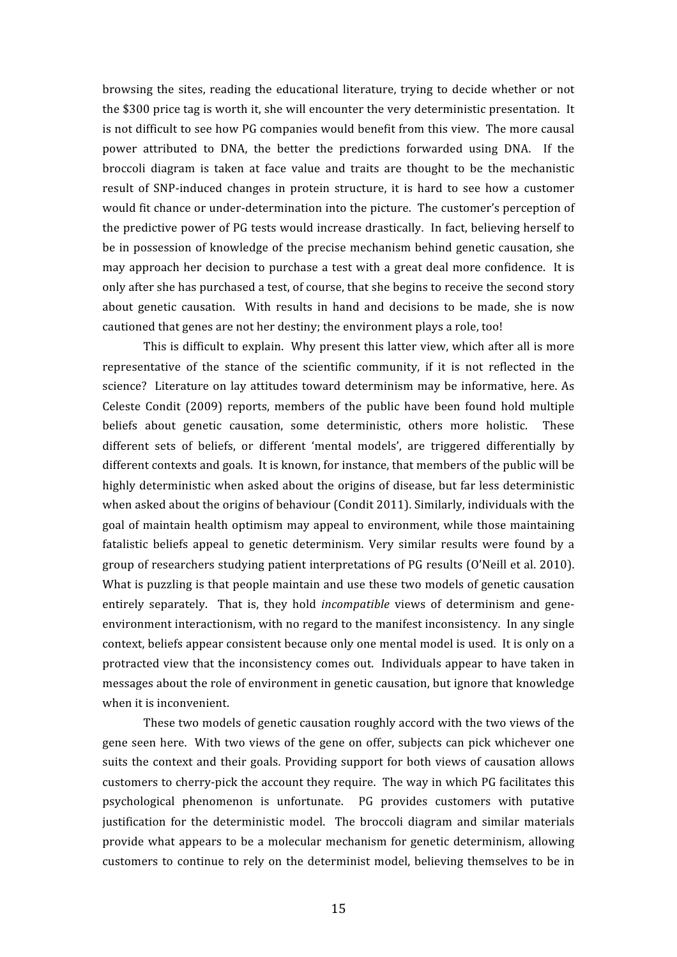browsing the sites, reading the educational literature, trying to decide whether or not the \$300 price tag is worth it, she will encounter the very deterministic presentation. It is not difficult to see how PG companies would benefit from this view. The more causal power attributed to DNA, the better the predictions forwarded using DNA. If the broccoli diagram is taken at face value and traits are thought to be the mechanistic result of SNP‐induced changes in protein structure, it is hard to see how a customer would fit chance or under‐determination into the picture. The customer's perception of the predictive power of PG tests would increase drastically. In fact, believing herself to be in possession of knowledge of the precise mechanism behind genetic causation, she may approach her decision to purchase a test with a great deal more confidence. It is only after she has purchased a test, of course, that she begins to receive the second story about genetic causation. With results in hand and decisions to be made, she is now cautioned that genes are not her destiny; the environment plays a role, too!

This is difficult to explain. Why present this latter view, which after all is more representative of the stance of the scientific community, if it is not reflected in the science? Literature on lay attitudes toward determinism may be informative, here. As Celeste Condit (2009) reports, members of the public have been found hold multiple beliefs about genetic causation, some deterministic, others more holistic. These different sets of beliefs, or different 'mental models', are triggered differentially by different contexts and goals. It is known, for instance, that members of the public will be highly deterministic when asked about the origins of disease, but far less deterministic when asked about the origins of behaviour (Condit 2011). Similarly, individuals with the goal of maintain health optimism may appeal to environment, while those maintaining fatalistic beliefs appeal to genetic determinism. Very similar results were found by a group of researchers studying patient interpretations of PG results (O'Neill et al. 2010). What is puzzling is that people maintain and use these two models of genetic causation entirely separately. That is, they hold *incompatible* views of determinism and gene‐ environment interactionism, with no regard to the manifest inconsistency. In any single context, beliefs appear consistent because only one mental model is used. It is only on a protracted view that the inconsistency comes out. Individuals appear to have taken in messages about the role of environment in genetic causation, but ignore that knowledge when it is inconvenient.

These two models of genetic causation roughly accord with the two views of the gene seen here. With two views of the gene on offer, subjects can pick whichever one suits the context and their goals. Providing support for both views of causation allows customers to cherry‐pick the account they require. The way in which PG facilitates this psychological phenomenon is unfortunate. PG provides customers with putative justification for the deterministic model. The broccoli diagram and similar materials provide what appears to be a molecular mechanism for genetic determinism, allowing customers to continue to rely on the determinist model, believing themselves to be in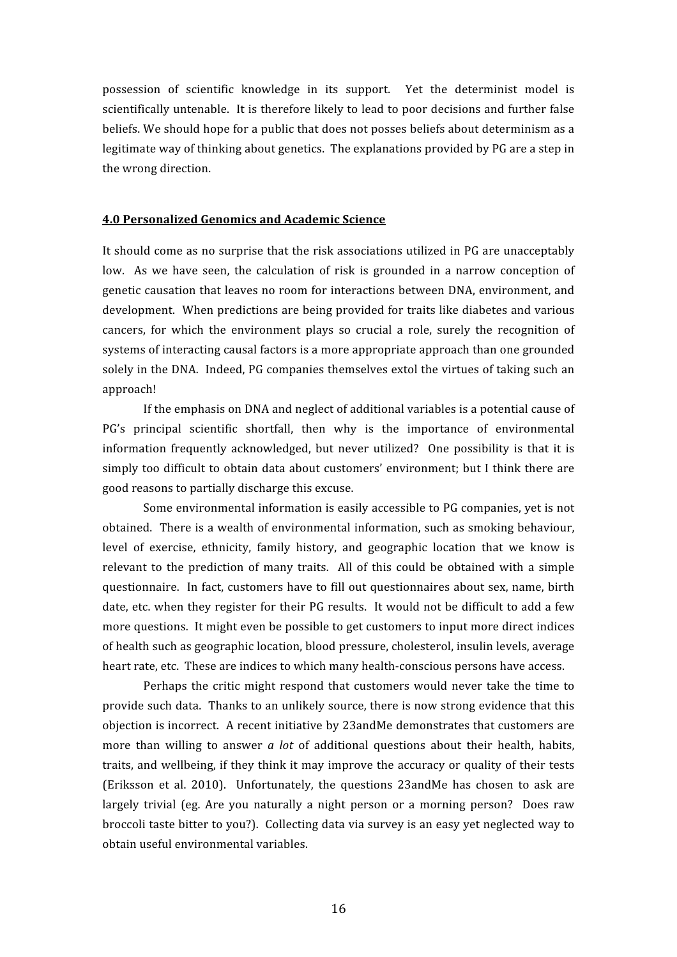possession of scientific knowledge in its support. Yet the determinist model is scientifically untenable. It is therefore likely to lead to poor decisions and further false beliefs. We should hope for a public that does not posses beliefs about determinism as a legitimate way of thinking about genetics. The explanations provided by PG are a step in the wrong direction.

## **4.0 Personalized Genomics and Academic Science**

It should come as no surprise that the risk associations utilized in PG are unacceptably low. As we have seen, the calculation of risk is grounded in a narrow conception of genetic causation that leaves no room for interactions between DNA, environment, and development. When predictions are being provided for traits like diabetes and various cancers, for which the environment plays so crucial a role, surely the recognition of systems of interacting causal factors is a more appropriate approach than one grounded solely in the DNA. Indeed, PG companies themselves extol the virtues of taking such an approach!

If the emphasis on DNA and neglect of additional variables is a potential cause of PG's principal scientific shortfall, then why is the importance of environmental information frequently acknowledged, but never utilized? One possibility is that it is simply too difficult to obtain data about customers' environment; but I think there are good reasons to partially discharge this excuse.

Some environmental information is easily accessible to PG companies, yet is not obtained. There is a wealth of environmental information, such as smoking behaviour, level of exercise, ethnicity, family history, and geographic location that we know is relevant to the prediction of many traits. All of this could be obtained with a simple questionnaire. In fact, customers have to fill out questionnaires about sex, name, birth date, etc. when they register for their PG results. It would not be difficult to add a few more questions. It might even be possible to get customers to input more direct indices of health such as geographic location, blood pressure, cholesterol, insulin levels, average heart rate, etc. These are indices to which many health-conscious persons have access.

Perhaps the critic might respond that customers would never take the time to provide such data. Thanks to an unlikely source, there is now strong evidence that this objection is incorrect. A recent initiative by 23andMe demonstrates that customers are more than willing to answer *a lot* of additional questions about their health, habits, traits, and wellbeing, if they think it may improve the accuracy or quality of their tests (Eriksson et al. 2010). Unfortunately, the questions 23andMe has chosen to ask are largely trivial (eg. Are you naturally a night person or a morning person? Does raw broccoli taste bitter to you?). Collecting data via survey is an easy yet neglected way to obtain useful environmental variables.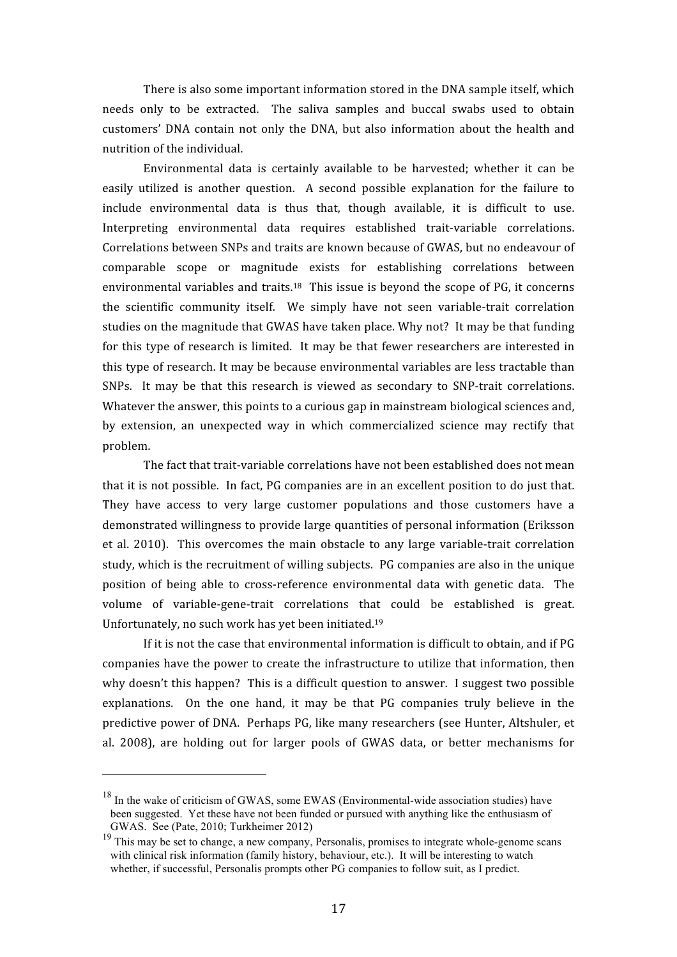There is also some important information stored in the DNA sample itself, which needs only to be extracted. The saliva samples and buccal swabs used to obtain customers' DNA contain not only the DNA, but also information about the health and nutrition of the individual.

Environmental data is certainly available to be harvested; whether it can be easily utilized is another question. A second possible explanation for the failure to include environmental data is thus that, though available, it is difficult to use. Interpreting environmental data requires established trait-variable correlations. Correlations between SNPs and traits are known because of GWAS, but no endeavour of comparable scope or magnitude exists for establishing correlations between environmental variables and traits.<sup>18</sup> This issue is beyond the scope of PG, it concerns the scientific community itself. We simply have not seen variable‐trait correlation studies on the magnitude that GWAS have taken place. Why not? It may be that funding for this type of research is limited. It may be that fewer researchers are interested in this type of research. It may be because environmental variables are less tractable than SNPs. It may be that this research is viewed as secondary to SNP‐trait correlations. Whatever the answer, this points to a curious gap in mainstream biological sciences and, by extension, an unexpected way in which commercialized science may rectify that problem.

The fact that trait-variable correlations have not been established does not mean that it is not possible. In fact, PG companies are in an excellent position to do just that. They have access to very large customer populations and those customers have a demonstrated willingness to provide large quantities of personal information (Eriksson et al. 2010). This overcomes the main obstacle to any large variable‐trait correlation study, which is the recruitment of willing subjects. PG companies are also in the unique position of being able to cross‐reference environmental data with genetic data. The volume of variable‐gene‐trait correlations that could be established is great. Unfortunately, no such work has yet been initiated. 19

If it is not the case that environmental information is difficult to obtain, and if PG companies have the power to create the infrastructure to utilize that information, then why doesn't this happen? This is a difficult question to answer. I suggest two possible explanations. On the one hand, it may be that PG companies truly believe in the predictive power of DNA. Perhaps PG, like many researchers (see Hunter, Altshuler, et al. 2008), are holding out for larger pools of GWAS data, or better mechanisms for

 $18$  In the wake of criticism of GWAS, some EWAS (Environmental-wide association studies) have been suggested. Yet these have not been funded or pursued with anything like the enthusiasm of GWAS. See (Pate, 2010; Turkheimer 2012)

<sup>&</sup>lt;sup>19</sup> This may be set to change, a new company, Personalis, promises to integrate whole-genome scans with clinical risk information (family history, behaviour, etc.). It will be interesting to watch whether, if successful, Personalis prompts other PG companies to follow suit, as I predict.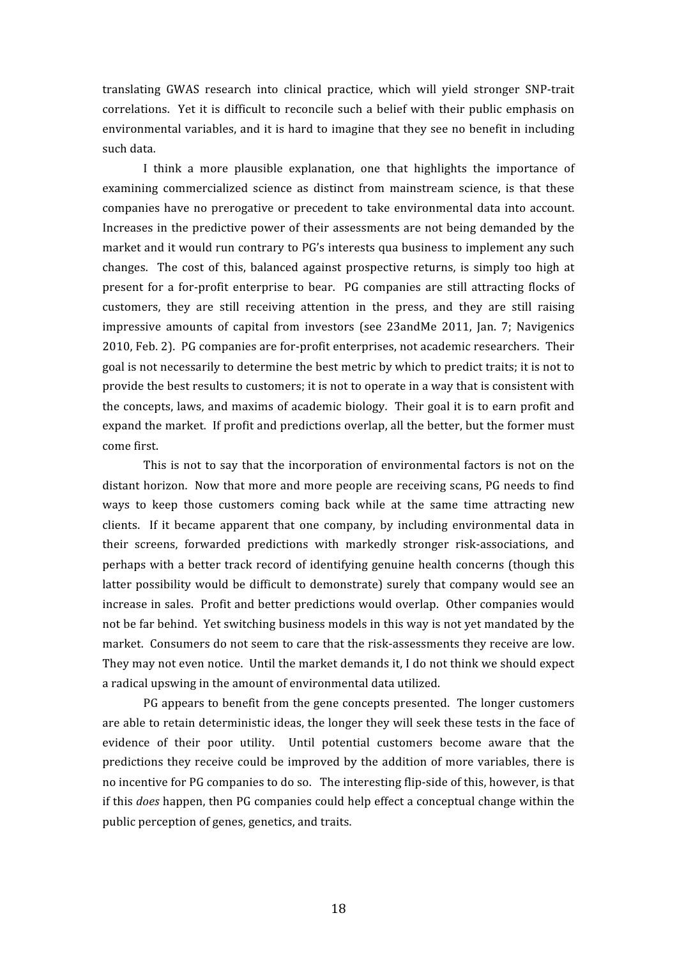translating GWAS research into clinical practice, which will yield stronger SNP‐trait correlations. Yet it is difficult to reconcile such a belief with their public emphasis on environmental variables, and it is hard to imagine that they see no benefit in including such data.

I think a more plausible explanation, one that highlights the importance of examining commercialized science as distinct from mainstream science, is that these companies have no prerogative or precedent to take environmental data into account. Increases in the predictive power of their assessments are not being demanded by the market and it would run contrary to PG's interests qua business to implement any such changes. The cost of this, balanced against prospective returns, is simply too high at present for a for‐profit enterprise to bear. PG companies are still attracting flocks of customers, they are still receiving attention in the press, and they are still raising impressive amounts of capital from investors (see 23andMe 2011, Jan. 7; Navigenics 2010, Feb. 2). PG companies are for‐profit enterprises, not academic researchers. Their goal is not necessarily to determine the best metric by which to predict traits; it is not to provide the best results to customers; it is not to operate in a way that is consistent with the concepts, laws, and maxims of academic biology. Their goal it is to earn profit and expand the market. If profit and predictions overlap, all the better, but the former must come first.

This is not to say that the incorporation of environmental factors is not on the distant horizon. Now that more and more people are receiving scans, PG needs to find ways to keep those customers coming back while at the same time attracting new clients. If it became apparent that one company, by including environmental data in their screens, forwarded predictions with markedly stronger risk‐associations, and perhaps with a better track record of identifying genuine health concerns (though this latter possibility would be difficult to demonstrate) surely that company would see an increase in sales. Profit and better predictions would overlap. Other companies would not be far behind. Yet switching business models in this way is not yet mandated by the market. Consumers do not seem to care that the risk-assessments they receive are low. They may not even notice. Until the market demands it, I do not think we should expect a radical upswing in the amount of environmental data utilized.

PG appears to benefit from the gene concepts presented. The longer customers are able to retain deterministic ideas, the longer they will seek these tests in the face of evidence of their poor utility. Until potential customers become aware that the predictions they receive could be improved by the addition of more variables, there is no incentive for PG companies to do so. The interesting flip‐side of this, however, is that if this *does* happen, then PG companies could help effect a conceptual change within the public perception of genes, genetics, and traits.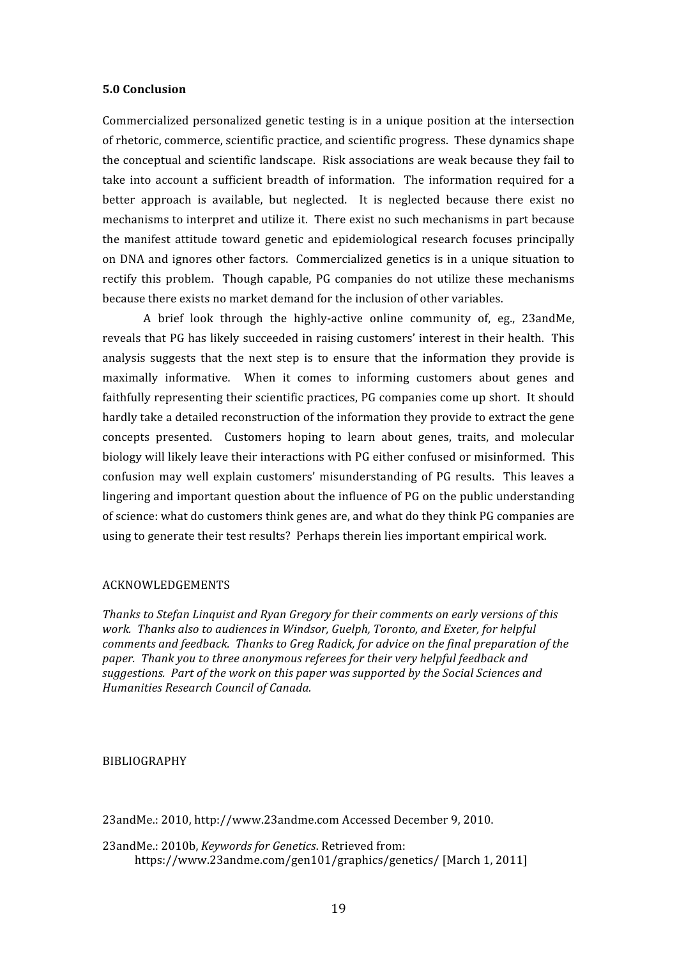#### **5.0 Conclusion**

Commercialized personalized genetic testing is in a unique position at the intersection of rhetoric, commerce, scientific practice, and scientific progress. These dynamics shape the conceptual and scientific landscape. Risk associations are weak because they fail to take into account a sufficient breadth of information. The information required for a better approach is available, but neglected. It is neglected because there exist no mechanisms to interpret and utilize it. There exist no such mechanisms in part because the manifest attitude toward genetic and epidemiological research focuses principally on DNA and ignores other factors. Commercialized genetics is in a unique situation to rectify this problem. Though capable, PG companies do not utilize these mechanisms because there exists no market demand for the inclusion of other variables.

A brief look through the highly‐active online community of, eg., 23andMe, reveals that PG has likely succeeded in raising customers' interest in their health. This analysis suggests that the next step is to ensure that the information they provide is maximally informative. When it comes to informing customers about genes and faithfully representing their scientific practices, PG companies come up short. It should hardly take a detailed reconstruction of the information they provide to extract the gene concepts presented. Customers hoping to learn about genes, traits, and molecular biology will likely leave their interactions with PG either confused or misinformed. This confusion may well explain customers' misunderstanding of PG results. This leaves a lingering and important question about the influence of PG on the public understanding of science: what do customers think genes are, and what do they think PG companies are using to generate their test results? Perhaps therein lies important empirical work.

## ACKNOWLEDGEMENTS

*Thanks to Stefan Linquist and Ryan Gregory for their comments on early versions of this work. Thanks also to audiences in Windsor, Guelph, Toronto, and Exeter, for helpful comments and feedback. Thanks to Greg Radick, for advice on the final preparation of the paper. Thank you to three anonymous referees for their very helpful feedback and suggestions. Part of the work on this paper was supported by the Social Sciences and Humanities Research Council of Canada.*

BIBLIOGRAPHY

23andMe.: 2010, http://www.23andme.com Accessed December 9, 2010.

23andMe.: 2010b, *Keywords for Genetics*. Retrieved from: https://www.23andme.com/gen101/graphics/genetics/ [March 1, 2011]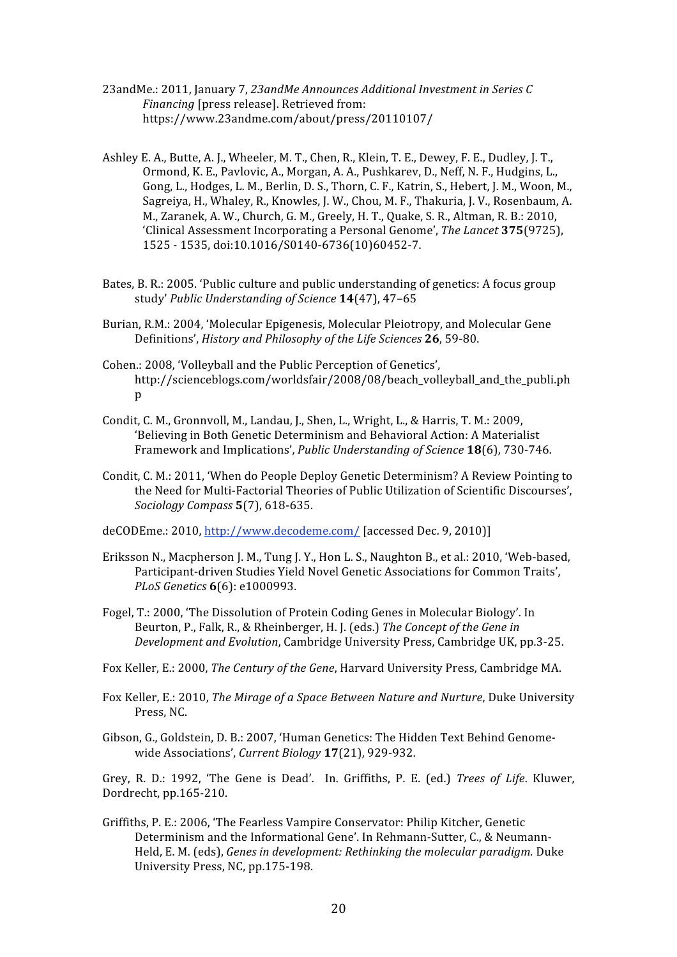- 23andMe.: 2011, January 7, *23andMe Announces Additional Investment in Series C Financing* [press release]. Retrieved from: https://www.23andme.com/about/press/20110107/
- Ashley E. A., Butte, A. J., Wheeler, M. T., Chen, R., Klein, T. E., Dewey, F. E., Dudley, J. T., Ormond, K. E., Pavlovic, A., Morgan, A. A., Pushkarev, D., Neff, N. F., Hudgins, L., Gong, L., Hodges, L. M., Berlin, D. S., Thorn, C. F., Katrin, S., Hebert, J. M., Woon, M., Sagreiya, H., Whaley, R., Knowles, J. W., Chou, M. F., Thakuria, J. V., Rosenbaum, A. M., Zaranek, A. W., Church, G. M., Greely, H. T., Quake, S. R., Altman, R. B.: 2010, 'Clinical Assessment Incorporating a Personal Genome', *The Lancet* **375**(9725), 1525 ‐ 1535, doi:10.1016/S0140‐6736(10)60452‐7.
- Bates, B. R.: 2005. 'Public culture and public understanding of genetics: A focus group study' *Public Understanding of Science* **14**(47), 47–65
- Burian, R.M.: 2004, 'Molecular Epigenesis, Molecular Pleiotropy, and Molecular Gene Definitions', *History and Philosophy of the Life Sciences* **26**, 59‐80.
- Cohen.: 2008, 'Volleyball and the Public Perception of Genetics', http://scienceblogs.com/worldsfair/2008/08/beach\_volleyball\_and\_the\_publi.ph p
- Condit, C. M., Gronnvoll, M., Landau, J., Shen, L., Wright, L., & Harris, T. M.: 2009, 'Believing in Both Genetic Determinism and Behavioral Action: A Materialist Framework and Implications', *Public Understanding of Science* **18**(6), 730‐746.
- Condit, C. M.: 2011, 'When do People Deploy Genetic Determinism? A Review Pointing to the Need for Multi‐Factorial Theories of Public Utilization of Scientific Discourses', *Sociology Compass* **5**(7), 618‐635.

deCODEme.: 2010, http://www.decodeme.com/ [accessed Dec. 9, 2010)]

- Eriksson N., Macpherson J. M., Tung J. Y., Hon L. S., Naughton B., et al.: 2010, 'Web‐based, Participant‐driven Studies Yield Novel Genetic Associations for Common Traits', *PLoS Genetics* **6**(6): e1000993.
- Fogel, T.: 2000, 'The Dissolution of Protein Coding Genes in Molecular Biology'. In Beurton, P., Falk, R., & Rheinberger, H. J. (eds.) *The Concept of the Gene in Development and Evolution*, Cambridge University Press, Cambridge UK, pp.3‐25.
- Fox Keller, E.: 2000, *The Century of the Gene*, Harvard University Press, Cambridge MA.
- Fox Keller, E.: 2010, *The Mirage of a Space Between Nature and Nurture*, Duke University Press, NC.

Gibson, G., Goldstein, D. B.: 2007, 'Human Genetics: The Hidden Text Behind Genome‐ wide Associations', *Current Biology* **17**(21), 929‐932.

Grey, R. D.: 1992, 'The Gene is Dead'. In. Griffiths, P. E. (ed.) *Trees of Life*. Kluwer, Dordrecht, pp.165‐210.

Griffiths, P. E.: 2006, 'The Fearless Vampire Conservator: Philip Kitcher, Genetic Determinism and the Informational Gene'. In Rehmann-Sutter, C., & Neumann-Held, E. M. (eds), *Genes in development: Rethinking the molecular paradigm.* Duke University Press, NC, pp.175‐198.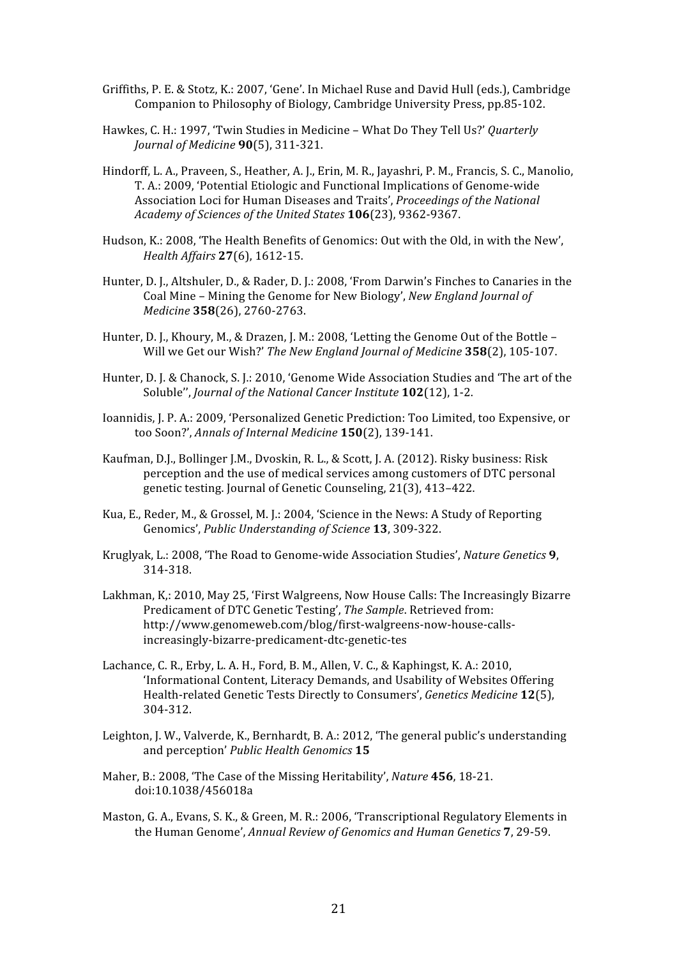- Griffiths, P. E. & Stotz, K.: 2007, 'Gene'. In Michael Ruse and David Hull (eds.), Cambridge Companion to Philosophy of Biology, Cambridge University Press, pp.85‐102.
- Hawkes, C. H.: 1997, 'Twin Studies in Medicine What Do They Tell Us?' *Quarterly Journal of Medicine* **90**(5), 311‐321.
- Hindorff, L. A., Praveen, S., Heather, A. J., Erin, M. R., Jayashri, P. M., Francis, S. C., Manolio, T. A.: 2009, 'Potential Etiologic and Functional Implications of Genome‐wide Association Loci for Human Diseases and Traits', *Proceedings of the National Academy of Sciences of the United States* **106**(23), 9362‐9367.
- Hudson, K.: 2008, 'The Health Benefits of Genomics: Out with the Old, in with the New', *Health Affairs* **27**(6), 1612‐15.
- Hunter, D. J., Altshuler, D., & Rader, D. J.: 2008, 'From Darwin's Finches to Canaries in the Coal Mine – Mining the Genome for New Biology', *New England Journal of Medicine* **358**(26), 2760‐2763.
- Hunter, D. J., Khoury, M., & Drazen, J. M.: 2008, 'Letting the Genome Out of the Bottle Will we Get our Wish?' *The New England Journal of Medicine* **358**(2), 105‐107.
- Hunter, D. J. & Chanock, S. J.: 2010, 'Genome Wide Association Studies and 'The art of the Soluble'', *Journal of the National Cancer Institute* **102**(12), 1‐2.
- Ioannidis, J. P. A.: 2009, 'Personalized Genetic Prediction: Too Limited, too Expensive, or too Soon?', *Annals of Internal Medicine* **150**(2), 139‐141.
- Kaufman, D.J., Bollinger J.M., Dvoskin, R. L., & Scott, J. A. (2012). Risky business: Risk perception and the use of medical services among customers of DTC personal genetic testing. Journal of Genetic Counseling, 21(3), 413–422.
- Kua, E., Reder, M., & Grossel, M. J.: 2004, 'Science in the News: A Study of Reporting Genomics', *Public Understanding of Science* **13**, 309‐322.
- Kruglyak, L.: 2008, 'The Road to Genome‐wide Association Studies', *Nature Genetics* **9**, 314‐318.
- Lakhman, K,: 2010, May 25, 'First Walgreens, Now House Calls: The Increasingly Bizarre Predicament of DTC Genetic Testing', *The Sample*. Retrieved from: http://www.genomeweb.com/blog/first-walgreens-now-house-callsincreasingly‐bizarre‐predicament‐dtc‐genetic‐tes
- Lachance, C. R., Erby, L. A. H., Ford, B. M., Allen, V. C., & Kaphingst, K. A.: 2010, 'Informational Content, Literacy Demands, and Usability of Websites Offering Health‐related Genetic Tests Directly to Consumers', *Genetics Medicine* **12**(5), 304‐312.
- Leighton, J. W., Valverde, K., Bernhardt, B. A.: 2012, 'The general public's understanding and perception' *Public Health Genomics* **15**
- Maher, B.: 2008, 'The Case of the Missing Heritability', *Nature* **456**, 18‐21. doi:10.1038/456018a
- Maston, G. A., Evans, S. K., & Green, M. R.: 2006, 'Transcriptional Regulatory Elements in the Human Genome', *Annual Review of Genomics and Human Genetics* **7**, 29‐59.